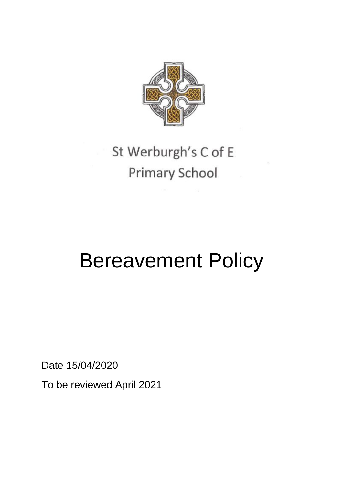

## St Werburgh's C of E **Primary School**

# Bereavement Policy

Date 15/04/2020

To be reviewed April 2021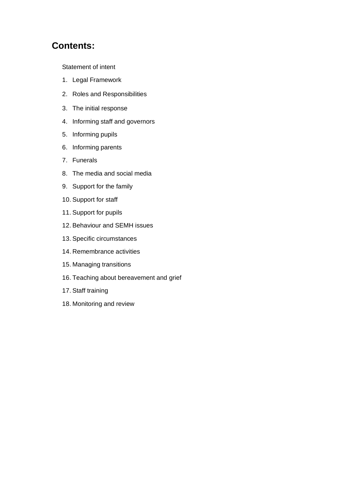## **Contents:**

Statement of intent

- 1. Legal Framework
- 2. Roles and Responsibilities
- 3. The initial response
- 4. Informing staff and governors
- 5. Informing pupils
- 6. Informing parents
- 7. Funerals
- 8. The media and social media
- 9. Support for the family
- 10. Support for staff
- 11. Support for pupils
- 12. Behaviour and SEMH issues
- 13. Specific circumstances
- 14. Remembrance activities
- 15. Managing transitions
- 16. Teaching about bereavement and grief
- 17. Staff training
- 18. Monitoring and review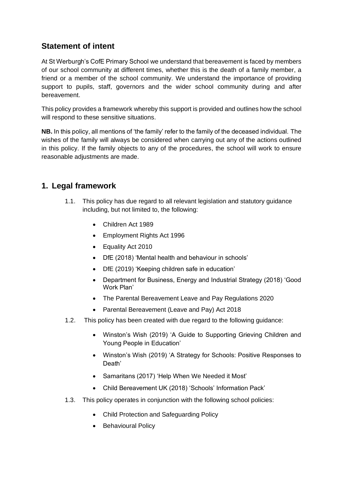## **Statement of intent**

At St Werburgh's CofE Primary School we understand that bereavement is faced by members of our school community at different times, whether this is the death of a family member, a friend or a member of the school community. We understand the importance of providing support to pupils, staff, governors and the wider school community during and after bereavement.

This policy provides a framework whereby this support is provided and outlines how the school will respond to these sensitive situations.

**NB.** In this policy, all mentions of 'the family' refer to the family of the deceased individual. The wishes of the family will always be considered when carrying out any of the actions outlined in this policy. If the family objects to any of the procedures, the school will work to ensure reasonable adjustments are made.

## **1. Legal framework**

- 1.1. This policy has due regard to all relevant legislation and statutory guidance including, but not limited to, the following:
	- Children Act 1989
	- Employment Rights Act 1996
	- Equality Act 2010
	- DfE (2018) 'Mental health and behaviour in schools'
	- DfE (2019) 'Keeping children safe in education'
	- Department for Business, Energy and Industrial Strategy (2018) 'Good Work Plan'
	- The Parental Bereavement Leave and Pay Regulations 2020
	- Parental Bereavement (Leave and Pay) Act 2018
- 1.2. This policy has been created with due regard to the following guidance:
	- Winston's Wish (2019) 'A Guide to Supporting Grieving Children and Young People in Education'
	- Winston's Wish (2019) 'A Strategy for Schools: Positive Responses to Death'
	- Samaritans (2017) 'Help When We Needed it Most'
	- Child Bereavement UK (2018) 'Schools' Information Pack'
- 1.3. This policy operates in conjunction with the following school policies:
	- Child Protection and Safeguarding Policy
	- Behavioural Policy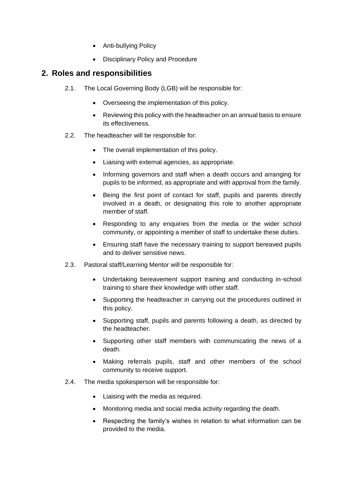- Anti-bullying Policy
- Disciplinary Policy and Procedure

## **2. Roles and responsibilities**

- 2.1. The Local Governing Body (LGB) will be responsible for:
	- Overseeing the implementation of this policy.
	- Reviewing this policy with the headteacher on an annual basis to ensure its effectiveness.
- 2.2. The headteacher will be responsible for:
	- The overall implementation of this policy.
	- Liaising with external agencies, as appropriate.
	- Informing governors and staff when a death occurs and arranging for pupils to be informed, as appropriate and with approval from the family.
	- Being the first point of contact for staff, pupils and parents directly involved in a death, or designating this role to another appropriate member of staff.
	- Responding to any enquiries from the media or the wider school community, or appointing a member of staff to undertake these duties.
	- Ensuring staff have the necessary training to support bereaved pupils and to deliver sensitive news.
- 2.3. Pastoral staff/Learning Mentor will be responsible for:
	- Undertaking bereavement support training and conducting in-school training to share their knowledge with other staff.
	- Supporting the headteacher in carrying out the procedures outlined in this policy.
	- Supporting staff, pupils and parents following a death, as directed by the headteacher.
	- Supporting other staff members with communicating the news of a death.
	- Making referrals pupils, staff and other members of the school community to receive support.
- 2.4. The media spokesperson will be responsible for:
	- Liaising with the media as required.
	- Monitoring media and social media activity regarding the death.
	- Respecting the family's wishes in relation to what information can be provided to the media.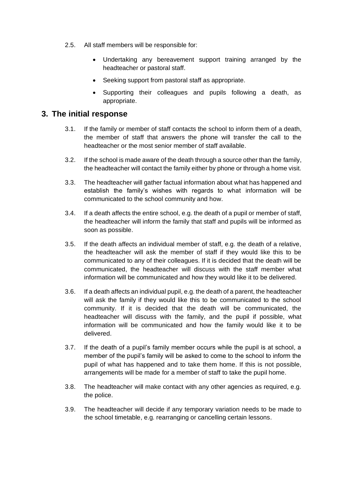- 2.5. All staff members will be responsible for:
	- Undertaking any bereavement support training arranged by the headteacher or pastoral staff.
	- Seeking support from pastoral staff as appropriate.
	- Supporting their colleagues and pupils following a death, as appropriate.

## **3. The initial response**

- 3.1. If the family or member of staff contacts the school to inform them of a death, the member of staff that answers the phone will transfer the call to the headteacher or the most senior member of staff available.
- 3.2. If the school is made aware of the death through a source other than the family, the headteacher will contact the family either by phone or through a home visit.
- 3.3. The headteacher will gather factual information about what has happened and establish the family's wishes with regards to what information will be communicated to the school community and how.
- 3.4. If a death affects the entire school, e.g. the death of a pupil or member of staff, the headteacher will inform the family that staff and pupils will be informed as soon as possible.
- 3.5. If the death affects an individual member of staff, e.g. the death of a relative, the headteacher will ask the member of staff if they would like this to be communicated to any of their colleagues. If it is decided that the death will be communicated, the headteacher will discuss with the staff member what information will be communicated and how they would like it to be delivered.
- 3.6. If a death affects an individual pupil, e.g. the death of a parent, the headteacher will ask the family if they would like this to be communicated to the school community. If it is decided that the death will be communicated, the headteacher will discuss with the family, and the pupil if possible, what information will be communicated and how the family would like it to be delivered.
- 3.7. If the death of a pupil's family member occurs while the pupil is at school, a member of the pupil's family will be asked to come to the school to inform the pupil of what has happened and to take them home. If this is not possible, arrangements will be made for a member of staff to take the pupil home.
- 3.8. The headteacher will make contact with any other agencies as required, e.g. the police.
- 3.9. The headteacher will decide if any temporary variation needs to be made to the school timetable, e.g. rearranging or cancelling certain lessons.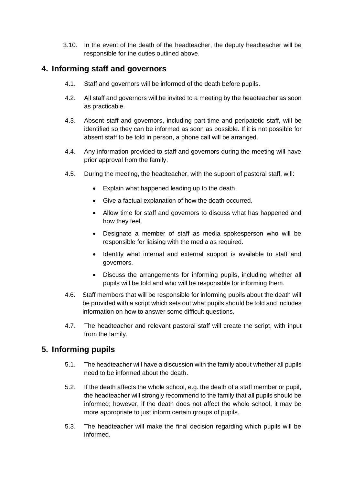3.10. In the event of the death of the headteacher, the deputy headteacher will be responsible for the duties outlined above.

## <span id="page-5-0"></span>**4. Informing staff and governors**

- 4.1. Staff and governors will be informed of the death before pupils.
- 4.2. All staff and governors will be invited to a meeting by the headteacher as soon as practicable.
- 4.3. Absent staff and governors, including part-time and peripatetic staff, will be identified so they can be informed as soon as possible. If it is not possible for absent staff to be told in person, a phone call will be arranged.
- 4.4. Any information provided to staff and governors during the meeting will have prior approval from the family.
- 4.5. During the meeting, the headteacher, with the support of pastoral staff, will:
	- Explain what happened leading up to the death.
	- Give a factual explanation of how the death occurred.
	- Allow time for staff and governors to discuss what has happened and how they feel.
	- Designate a member of staff as media spokesperson who will be responsible for liaising with the media as required.
	- Identify what internal and external support is available to staff and governors.
	- Discuss the arrangements for informing pupils, including whether all pupils will be told and who will be responsible for informing them.
- 4.6. Staff members that will be responsible for informing pupils about the death will be provided with a script which sets out what pupils should be told and includes information on how to answer some difficult questions.
- 4.7. The headteacher and relevant pastoral staff will create the script, with input from the family.

## **5. Informing pupils**

- 5.1. The headteacher will have a discussion with the family about whether all pupils need to be informed about the death.
- 5.2. If the death affects the whole school, e.g. the death of a staff member or pupil, the headteacher will strongly recommend to the family that all pupils should be informed; however, if the death does not affect the whole school, it may be more appropriate to just inform certain groups of pupils.
- 5.3. The headteacher will make the final decision regarding which pupils will be informed.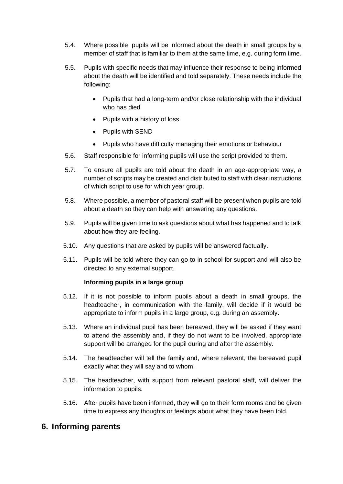- 5.4. Where possible, pupils will be informed about the death in small groups by a member of staff that is familiar to them at the same time, e.g. during form time.
- 5.5. Pupils with specific needs that may influence their response to being informed about the death will be identified and told separately. These needs include the following:
	- Pupils that had a long-term and/or close relationship with the individual who has died
	- Pupils with a history of loss
	- Pupils with SEND
	- Pupils who have difficulty managing their emotions or behaviour
- 5.6. Staff responsible for informing pupils will use the script provided to them.
- 5.7. To ensure all pupils are told about the death in an age-appropriate way, a number of scripts may be created and distributed to staff with clear instructions of which script to use for which year group.
- 5.8. Where possible, a member of pastoral staff will be present when pupils are told about a death so they can help with answering any questions.
- 5.9. Pupils will be given time to ask questions about what has happened and to talk about how they are feeling.
- 5.10. Any questions that are asked by pupils will be answered factually.
- 5.11. Pupils will be told where they can go to in school for support and will also be directed to any external support.

#### **Informing pupils in a large group**

- 5.12. If it is not possible to inform pupils about a death in small groups, the headteacher, in communication with the family, will decide if it would be appropriate to inform pupils in a large group, e.g. during an assembly.
- 5.13. Where an individual pupil has been bereaved, they will be asked if they want to attend the assembly and, if they do not want to be involved, appropriate support will be arranged for the pupil during and after the assembly.
- 5.14. The headteacher will tell the family and, where relevant, the bereaved pupil exactly what they will say and to whom.
- 5.15. The headteacher, with support from relevant pastoral staff, will deliver the information to pupils.
- 5.16. After pupils have been informed, they will go to their form rooms and be given time to express any thoughts or feelings about what they have been told.

## **6. Informing parents**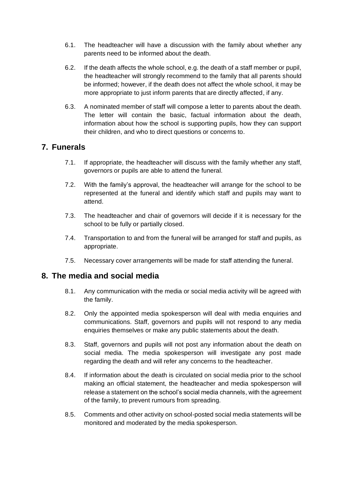- 6.1. The headteacher will have a discussion with the family about whether any parents need to be informed about the death.
- 6.2. If the death affects the whole school, e.g. the death of a staff member or pupil, the headteacher will strongly recommend to the family that all parents should be informed; however, if the death does not affect the whole school, it may be more appropriate to just inform parents that are directly affected, if any.
- 6.3. A nominated member of staff will compose a letter to parents about the death. The letter will contain the basic, factual information about the death, information about how the school is supporting pupils, how they can support their children, and who to direct questions or concerns to.

## **7. Funerals**

- 7.1. If appropriate, the headteacher will discuss with the family whether any staff, governors or pupils are able to attend the funeral.
- 7.2. With the family's approval, the headteacher will arrange for the school to be represented at the funeral and identify which staff and pupils may want to attend.
- 7.3. The headteacher and chair of governors will decide if it is necessary for the school to be fully or partially closed.
- 7.4. Transportation to and from the funeral will be arranged for staff and pupils, as appropriate.
- 7.5. Necessary cover arrangements will be made for staff attending the funeral.

## <span id="page-7-0"></span>**8. The media and social media**

- 8.1. Any communication with the media or social media activity will be agreed with the family.
- 8.2. Only the appointed media spokesperson will deal with media enquiries and communications. Staff, governors and pupils will not respond to any media enquiries themselves or make any public statements about the death.
- 8.3. Staff, governors and pupils will not post any information about the death on social media. The media spokesperson will investigate any post made regarding the death and will refer any concerns to the headteacher.
- 8.4. If information about the death is circulated on social media prior to the school making an official statement, the headteacher and media spokesperson will release a statement on the school's social media channels, with the agreement of the family, to prevent rumours from spreading.
- 8.5. Comments and other activity on school-posted social media statements will be monitored and moderated by the media spokesperson.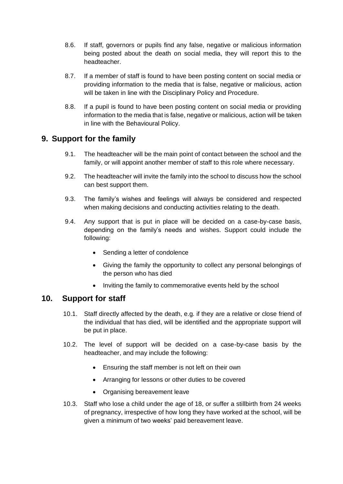- 8.6. If staff, governors or pupils find any false, negative or malicious information being posted about the death on social media, they will report this to the headteacher.
- 8.7. If a member of staff is found to have been posting content on social media or providing information to the media that is false, negative or malicious, action will be taken in line with the Disciplinary Policy and Procedure.
- 8.8. If a pupil is found to have been posting content on social media or providing information to the media that is false, negative or malicious, action will be taken in line with the Behavioural Policy.

## **9. Support for the family**

- 9.1. The headteacher will be the main point of contact between the school and the family, or will appoint another member of staff to this role where necessary.
- 9.2. The headteacher will invite the family into the school to discuss how the school can best support them.
- 9.3. The family's wishes and feelings will always be considered and respected when making decisions and conducting activities relating to the death.
- 9.4. Any support that is put in place will be decided on a case-by-case basis, depending on the family's needs and wishes. Support could include the following:
	- Sending a letter of condolence
	- Giving the family the opportunity to collect any personal belongings of the person who has died
	- Inviting the family to commemorative events held by the school

## **10. Support for staff**

- 10.1. Staff directly affected by the death, e.g. if they are a relative or close friend of the individual that has died, will be identified and the appropriate support will be put in place.
- 10.2. The level of support will be decided on a case-by-case basis by the headteacher, and may include the following:
	- Ensuring the staff member is not left on their own
	- Arranging for lessons or other duties to be covered
	- Organising bereavement leave
- 10.3. Staff who lose a child under the age of 18, or suffer a stillbirth from 24 weeks of pregnancy, irrespective of how long they have worked at the school, will be given a minimum of two weeks' paid bereavement leave.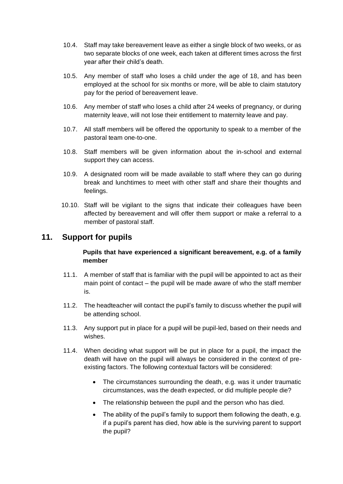- 10.4. Staff may take bereavement leave as either a single block of two weeks, or as two separate blocks of one week, each taken at different times across the first year after their child's death.
- 10.5. Any member of staff who loses a child under the age of 18, and has been employed at the school for six months or more, will be able to claim statutory pay for the period of bereavement leave.
- 10.6. Any member of staff who loses a child after 24 weeks of pregnancy, or during maternity leave, will not lose their entitlement to maternity leave and pay.
- 10.7. All staff members will be offered the opportunity to speak to a member of the pastoral team one-to-one.
- 10.8. Staff members will be given information about the in-school and external support they can access.
- 10.9. A designated room will be made available to staff where they can go during break and lunchtimes to meet with other staff and share their thoughts and feelings.
- 10.10. Staff will be vigilant to the signs that indicate their colleagues have been affected by bereavement and will offer them support or make a referral to a member of pastoral staff.

## **11. Support for pupils**

#### **Pupils that have experienced a significant bereavement, e.g. of a family member**

- 11.1. A member of staff that is familiar with the pupil will be appointed to act as their main point of contact – the pupil will be made aware of who the staff member is.
- 11.2. The headteacher will contact the pupil's family to discuss whether the pupil will be attending school.
- 11.3. Any support put in place for a pupil will be pupil-led, based on their needs and wishes.
- 11.4. When deciding what support will be put in place for a pupil, the impact the death will have on the pupil will always be considered in the context of preexisting factors. The following contextual factors will be considered:
	- The circumstances surrounding the death, e.g. was it under traumatic circumstances, was the death expected, or did multiple people die?
	- The relationship between the pupil and the person who has died.
	- The ability of the pupil's family to support them following the death, e.g. if a pupil's parent has died, how able is the surviving parent to support the pupil?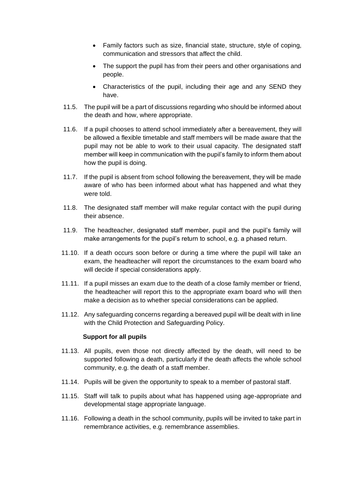- Family factors such as size, financial state, structure, style of coping, communication and stressors that affect the child.
- The support the pupil has from their peers and other organisations and people.
- Characteristics of the pupil, including their age and any SEND they have.
- 11.5. The pupil will be a part of discussions regarding who should be informed about the death and how, where appropriate.
- 11.6. If a pupil chooses to attend school immediately after a bereavement, they will be allowed a flexible timetable and staff members will be made aware that the pupil may not be able to work to their usual capacity. The designated staff member will keep in communication with the pupil's family to inform them about how the pupil is doing.
- 11.7. If the pupil is absent from school following the bereavement, they will be made aware of who has been informed about what has happened and what they were told.
- 11.8. The designated staff member will make regular contact with the pupil during their absence.
- 11.9. The headteacher, designated staff member, pupil and the pupil's family will make arrangements for the pupil's return to school, e.g. a phased return.
- 11.10. If a death occurs soon before or during a time where the pupil will take an exam, the headteacher will report the circumstances to the exam board who will decide if special considerations apply.
- 11.11. If a pupil misses an exam due to the death of a close family member or friend, the headteacher will report this to the appropriate exam board who will then make a decision as to whether special considerations can be applied.
- 11.12. Any safeguarding concerns regarding a bereaved pupil will be dealt with in line with the Child Protection and Safeguarding Policy.

#### **Support for all pupils**

- 11.13. All pupils, even those not directly affected by the death, will need to be supported following a death, particularly if the death affects the whole school community, e.g. the death of a staff member.
- 11.14. Pupils will be given the opportunity to speak to a member of pastoral staff.
- 11.15. Staff will talk to pupils about what has happened using age-appropriate and developmental stage appropriate language.
- 11.16. Following a death in the school community, pupils will be invited to take part in remembrance activities, e.g. remembrance assemblies.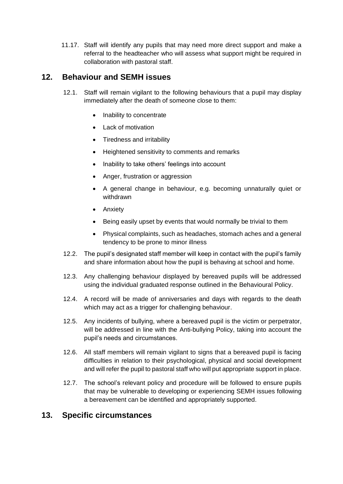11.17. Staff will identify any pupils that may need more direct support and make a referral to the headteacher who will assess what support might be required in collaboration with pastoral staff.

## **12. Behaviour and SEMH issues**

- 12.1. Staff will remain vigilant to the following behaviours that a pupil may display immediately after the death of someone close to them:
	- Inability to concentrate
	- Lack of motivation
	- Tiredness and irritability
	- Heightened sensitivity to comments and remarks
	- Inability to take others' feelings into account
	- Anger, frustration or aggression
	- A general change in behaviour, e.g. becoming unnaturally quiet or withdrawn
	- Anxiety
	- Being easily upset by events that would normally be trivial to them
	- Physical complaints, such as headaches, stomach aches and a general tendency to be prone to minor illness
- 12.2. The pupil's designated staff member will keep in contact with the pupil's family and share information about how the pupil is behaving at school and home.
- 12.3. Any challenging behaviour displayed by bereaved pupils will be addressed using the individual graduated response outlined in the Behavioural Policy.
- 12.4. A record will be made of anniversaries and days with regards to the death which may act as a trigger for challenging behaviour.
- 12.5. Any incidents of bullying, where a bereaved pupil is the victim or perpetrator, will be addressed in line with the Anti-bullying Policy, taking into account the pupil's needs and circumstances.
- 12.6. All staff members will remain vigilant to signs that a bereaved pupil is facing difficulties in relation to their psychological, physical and social development and will refer the pupil to pastoral staff who will put appropriate support in place.
- 12.7. The school's relevant policy and procedure will be followed to ensure pupils that may be vulnerable to developing or experiencing SEMH issues following a bereavement can be identified and appropriately supported.

## **13. Specific circumstances**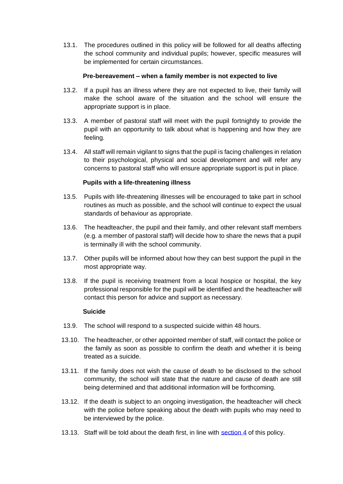13.1. The procedures outlined in this policy will be followed for all deaths affecting the school community and individual pupils; however, specific measures will be implemented for certain circumstances.

#### **Pre-bereavement – when a family member is not expected to live**

- 13.2. If a pupil has an illness where they are not expected to live, their family will make the school aware of the situation and the school will ensure the appropriate support is in place.
- 13.3. A member of pastoral staff will meet with the pupil fortnightly to provide the pupil with an opportunity to talk about what is happening and how they are feeling.
- 13.4. All staff will remain vigilant to signs that the pupil is facing challenges in relation to their psychological, physical and social development and will refer any concerns to pastoral staff who will ensure appropriate support is put in place.

#### **Pupils with a life-threatening illness**

- 13.5. Pupils with life-threatening illnesses will be encouraged to take part in school routines as much as possible, and the school will continue to expect the usual standards of behaviour as appropriate.
- 13.6. The headteacher, the pupil and their family, and other relevant staff members (e.g. a member of pastoral staff) will decide how to share the news that a pupil is terminally ill with the school community.
- 13.7. Other pupils will be informed about how they can best support the pupil in the most appropriate way.
- 13.8. If the pupil is receiving treatment from a local hospice or hospital, the key professional responsible for the pupil will be identified and the headteacher will contact this person for advice and support as necessary.

#### **Suicide**

- 13.9. The school will respond to a suspected suicide within 48 hours.
- 13.10. The headteacher, or other appointed member of staff, will contact the police or the family as soon as possible to confirm the death and whether it is being treated as a suicide.
- 13.11. If the family does not wish the cause of death to be disclosed to the school community, the school will state that the nature and cause of death are still being determined and that additional information will be forthcoming.
- 13.12. If the death is subject to an ongoing investigation, the headteacher will check with the police before speaking about the death with pupils who may need to be interviewed by the police.
- 13.13. Staff will be told about the death first, in line with [section](#page-5-0) 4 of this policy.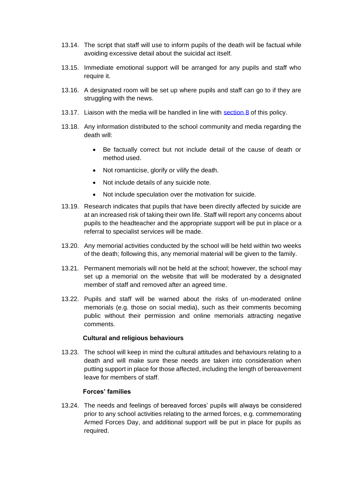- 13.14. The script that staff will use to inform pupils of the death will be factual while avoiding excessive detail about the suicidal act itself.
- 13.15. Immediate emotional support will be arranged for any pupils and staff who require it.
- 13.16. A designated room will be set up where pupils and staff can go to if they are struggling with the news.
- 13.17. Liaison with the media will be handled in line with [section 8](#page-7-0) of this policy.
- 13.18. Any information distributed to the school community and media regarding the death will:
	- Be factually correct but not include detail of the cause of death or method used.
	- Not romanticise, glorify or vilify the death.
	- Not include details of any suicide note.
	- Not include speculation over the motivation for suicide.
- 13.19. Research indicates that pupils that have been directly affected by suicide are at an increased risk of taking their own life. Staff will report any concerns about pupils to the headteacher and the appropriate support will be put in place or a referral to specialist services will be made.
- 13.20. Any memorial activities conducted by the school will be held within two weeks of the death; following this, any memorial material will be given to the family.
- 13.21. Permanent memorials will not be held at the school; however, the school may set up a memorial on the website that will be moderated by a designated member of staff and removed after an agreed time.
- 13.22. Pupils and staff will be warned about the risks of un-moderated online memorials (e.g. those on social media), such as their comments becoming public without their permission and online memorials attracting negative comments.

#### **Cultural and religious behaviours**

13.23. The school will keep in mind the cultural attitudes and behaviours relating to a death and will make sure these needs are taken into consideration when putting support in place for those affected, including the length of bereavement leave for members of staff.

#### **Forces' families**

13.24. The needs and feelings of bereaved forces' pupils will always be considered prior to any school activities relating to the armed forces, e.g. commemorating Armed Forces Day, and additional support will be put in place for pupils as required.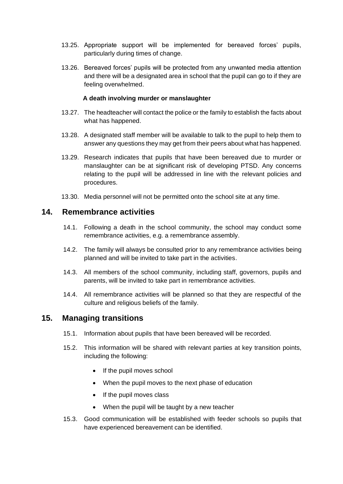- 13.25. Appropriate support will be implemented for bereaved forces' pupils, particularly during times of change.
- 13.26. Bereaved forces' pupils will be protected from any unwanted media attention and there will be a designated area in school that the pupil can go to if they are feeling overwhelmed.

#### **A death involving murder or manslaughter**

- 13.27. The headteacher will contact the police or the family to establish the facts about what has happened.
- 13.28. A designated staff member will be available to talk to the pupil to help them to answer any questions they may get from their peers about what has happened.
- 13.29. Research indicates that pupils that have been bereaved due to murder or manslaughter can be at significant risk of developing PTSD. Any concerns relating to the pupil will be addressed in line with the relevant policies and procedures.
- 13.30. Media personnel will not be permitted onto the school site at any time.

## **14. Remembrance activities**

- 14.1. Following a death in the school community, the school may conduct some remembrance activities, e.g. a remembrance assembly.
- 14.2. The family will always be consulted prior to any remembrance activities being planned and will be invited to take part in the activities.
- 14.3. All members of the school community, including staff, governors, pupils and parents, will be invited to take part in remembrance activities.
- 14.4. All remembrance activities will be planned so that they are respectful of the culture and religious beliefs of the family.

## **15. Managing transitions**

- 15.1. Information about pupils that have been bereaved will be recorded.
- 15.2. This information will be shared with relevant parties at key transition points, including the following:
	- If the pupil moves school
	- When the pupil moves to the next phase of education
	- If the pupil moves class
	- When the pupil will be taught by a new teacher
- 15.3. Good communication will be established with feeder schools so pupils that have experienced bereavement can be identified.